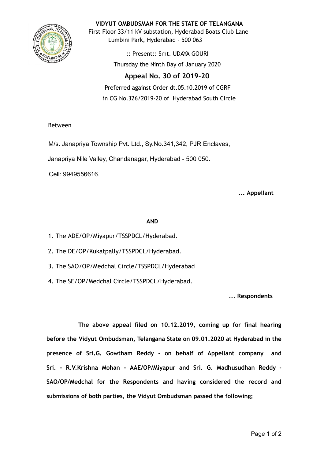

**VIDYUT OMBUDSMAN FOR THE STATE OF TELANGANA** First Floor 33/11 kV substation, Hyderabad Boats Club Lane Lumbini Park, Hyderabad - 500 063

> :: Present:: Smt. UDAYA GOURI Thursday the Ninth Day of January 2020

# **Appeal No. 30 of 2019-20**

Preferred against Order dt.05.10.2019 of CGRF in CG No.326/2019-20 of Hyderabad South Circle

## Between

M/s. Janapriya Township Pvt. Ltd., Sy.No.341,342, PJR Enclaves,

Janapriya Nile Valley, Chandanagar, Hyderabad - 500 050.

Cell: 9949556616.

## **... Appellant**

## **AND**

- 1. The ADE/OP/Miyapur/TSSPDCL/Hyderabad.
- 2. The DE/OP/Kukatpally/TSSPDCL/Hyderabad.
- 3. The SAO/OP/Medchal Circle/TSSPDCL/Hyderabad
- 4. The SE/OP/Medchal Circle/TSSPDCL/Hyderabad.

**... Respondents**

**The above appeal filed on 10.12.2019, coming up for final hearing before the Vidyut Ombudsman, Telangana State on 09.01.2020 at Hyderabad in the presence of Sri.G. Gowtham Reddy - on behalf of Appellant company and Sri. - R.V.Krishna Mohan - AAE/OP/Miyapur and Sri. G. Madhusudhan Reddy - SAO/OP/Medchal for the Respondents and having considered the record and submissions of both parties, the Vidyut Ombudsman passed the following;**